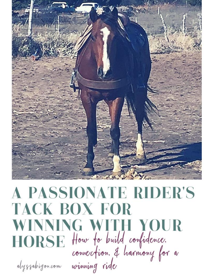

# **A PASSIONATE RIDER'S TACK BOX FOR** WINNING WITH YOUR<br>HORSE How to build confidence.<br>connection. & harmony for a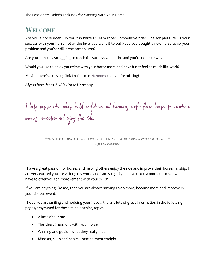# **WELCOME**

Are you a horse rider? Do you run barrels? Team rope? Competitive ride? Ride for pleasure? Is your success with your horse not at the level you want it to be? Have you bought a new horse to fix your problem and you're still in the same slump?

Are you currently struggling to reach the success you desire and you're not sure why?

Would you like to enjoy your time with your horse more and have it not feel so much like work?

Maybe there's a missing link I refer to as **Harmony** that you're missing!

*Alyssa here from AlyB's Horse Harmony.*

I help passionate riders build confidence and harmony with their horse to create a winning connection and enjoy the ride.

*"PASSION IS ENERGY. FEEL THE POWER THAT COMES FROM FOCUSING ON WHAT EXCITES YOU. " -OPRAH WINFREY*

I have a great passion for horses and helping others enjoy the ride and improve their horsemanship. I am very excited you are visiting my world and I am so glad you have taken a moment to see what I have to offer you for improvement with your skills!

If you are anything like me, then you are always striving to do more, become more and improve in your chosen event.

I hope you are smiling and nodding your head... there is lots of great information in the following pages, stay tuned for these mind opening topics:

- A little about me
- The idea of harmony with your horse
- Winning and goals what they really mean
- Mindset, skills and habits setting them straight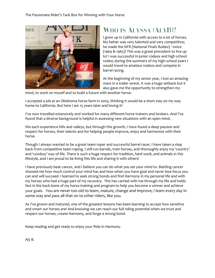

# **WHO IS ALYSSA (ALYB)?**

I grew up in California with access to a lot of horses. My father was very talented and very competitive; he made the NFR (National Finals Rodeo) - twice (1964 & 1965)! This was a great precedent to live up to! I was successful in junior rodeos and high school rodeo; during the summers of my high school years I would travel to amateur rodeos and compete in barrel racing.

At the beginning of my senior year, I lost an amazing mare in a trailer wreck. It was a huge setback but it also gave me the opportunity to strengthen my

mind, to work on myself and to build a future with another horse.

I accepted a job at an Oklahoma horse farm in 2003, thinking it would be a short stay on my way home to California. But here I am 15 years later and loving it!

I've now travelled extensively and worked for many different horse trainers and brokers. And I've found that a diverse background is helpful in assessing new situations with an open mind.

We each experience hills and valleys, but through this growth, I have found a deep passion and respect for horses, their talents and for helping people improve, enjoy and harmonize with their horse.

Though I always wanted to be a great team roper and successful barrel racer, I have taken a step back from competitive team roping. I still run barrels, train horses, and thoroughly enjoy my 'country' and 'cowboy' way of life. There is such a huge respect for tradition, hard work, and animals in this lifestyle, and I am proud to be living this life and sharing it with others!

I have previously beat cancer, and I believe you can do what you set your mind to. Battling cancer showed me how much control your mind has and how when you have goal and never lose focus you can and will succeed. I learned to seek strong bonds and find Harmony in my personal life and with my horses who had a huge part of my recovery. This has carried with me through my life and holds fast in the back bone of my horse training and program to help you become a winner and achieve your goals. You are never too old to learn, mature, change and improve; I learn every day in some way and pass all that on to other riders, like you.

As I've grown and matured, one of the greatest lessons has been learning to accept how sensitive and smart our horses are! And knowing we can reach our full riding potential when we trust and respect our horses, create Harmony, and forge a strong bond.

Keep reading and get ready to enjoy your Ride in Harmony.

Aly B.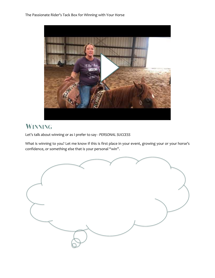The Passionate Rider's Tack Box for Winning with Your Horse



# WINNING

Let's talk about winning or as I prefer to say - *PERSONAL SUCCESS*

What is winning to you? Let me know if this is first place in your event, growing your or your horse's confidence, or something else that is your personal "win".

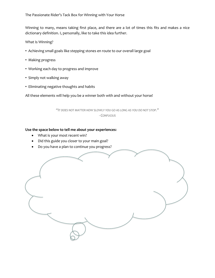Winning to many, means taking first place, and there are a lot of times this fits and makes a nice dictionary definition. I, personally, like to take this idea further.

What Is Winning?

- Achieving small goals like stepping stones en route to our overall large goal
- Making progress
- Working each day to progress and improve
- Simply not walking away
- Eliminating negative thoughts and habits

All these elements will help you be a winner both with and without your horse!

*"IT DOES NOT MATTER HOW SLOWLY YOU GO AS LONG AS YOU DO NOT STOP." - CONFUCIUS*

#### **Use the space below to tell me about your experiences:**

- What is your most recent win?
- Did this guide you closer to your main goal?
- Do you have a plan to continue you progress?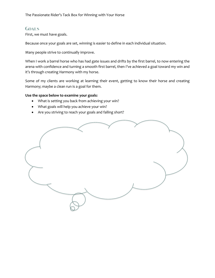## **GOALS**

First, we must have goals.

Because once your goals are set, winning is easier to define in each individual situation.

Many people strive to continually improve.

When I work a barrel horse who has had gate issues and drifts by the first barrel, to now entering the arena with confidence and turning a smooth first barrel, then I've achieved a goal toward my win and it's through creating Harmony with my horse.

Some of my clients are working at learning their event, getting to know their horse and creating Harmony; maybe a clean run is a goal for them.

#### **Use the space below to examine your goals:**

- What is setting you back from achieving your win?
- What goals will help you achieve your win?
- Are you striving to reach your goals and falling short?

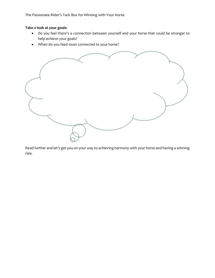The Passionate Rider's Tack Box for Winning with Your Horse

#### **Take a look at your goals:**

- Do you feel there's a connection between yourself and your horse that could be stronger to help achieve your goals?
- When do you feed most connected to your horse?



Read further and let's get you on your way to achieving harmony with your horse and having a winning ride.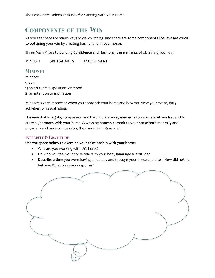## **COMPONENTS OF THE WIN**

As you see there are many ways to view winning, and there are some components I believe are crucial to obtaining your win by creating harmony with your horse.

Three Main Pillars to Building Confidence and Harmony, the elements of obtaining your win:

MINDSET SKILLS/HABITS ACHIEVEMENT

## **MINDSET**

Mindset -noun 1) an attitude, disposition, or mood 2) an intention or inclination

Mindset is very important when you approach your horse and how you view your event, daily activities, or casual riding.

I believe that integrity, compassion and hard work are key elements to a successful mindset and to creating harmony with your horse. Always be honest, commit to your horse both mentally and physically and have compassion; they have feelings as well.

#### **INTEGRITY & GRATITUDE**

#### **Use the space below to examine your relationship with your horse:**

- Why are you working with *this* horse?
- How do you feel your horse reacts to your body language & attitude?
- Describe a time you were having a bad day and thought your horse could tell! How did he/she behave? What was your response?

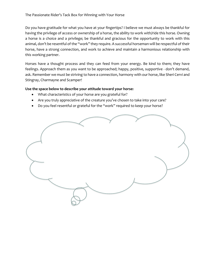Do you have gratitude for what you have at your fingertips? I believe we must always be thankful for having the privilege of access or ownership of a horse, the ability to work with/ride this horse. Owning a horse is a choice and a privilege; be thankful and gracious for the opportunity to work with this animal, don't be resentful of the "work" they require. A successful horseman will be respectful of their horse, have a strong connection, and work to achieve and maintain a harmonious relationship with this working partner.

Horses have a thought process and they can feed from your energy. Be kind to them; they have feelings. Approach them as you want to be approached; happy, positive, supportive - don't demand, ask. Remember we must be striving to have a connection, harmony with our horse, like Sheri Cervi and Stingray, Charmayne and Scamper!

#### **Use the space below to describe your attitude toward your horse:**

- What characteristics of your horse are you grateful for?
- Are you truly appreciative of the creature you've chosen to take into your care?
- Do you feel resentful or grateful for the "work" required to keep your horse?

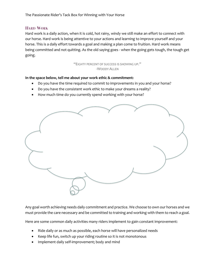#### **HARD WORK**

Hard work is a daily action, when it is cold, hot rainy, windy we still make an effort to connect with our horse. Hard work is being attentive to your actions and learning to improve yourself and your horse. This is a daily effort towards a goal and making a plan come to fruition. Hard work means being committed and not quitting. As the old saying goes - when the going gets tough, the tough get going.

> "EIGHTY PERCENT OF SUCCESS IS SHOWING UP." -WOODY ALLEN

#### **In the space below, tell me about your work ethic & commitment:**

- Do you have the time required to commit to improvements in you and your horse?
- Do you have the consistent work ethic to make your dreams a reality?
- How much time do you currently spend working with your horse?



Any goal worth achieving needs daily commitment and practice. We choose to own our horses and we must provide the care necessary and be committed to training and working with them to reach a goal.

Here are some common daily activities many riders implement to gain constant improvement:

- Ride daily or as much as possible, each horse will have personalized needs
- Keep life fun, switch up your riding routine so it is not monotonous
- Implement daily self-improvement; body and mind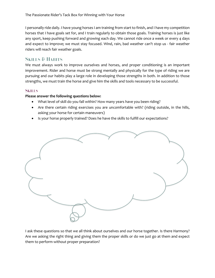I personally ride daily. I have young horses I am training from start to finish, and I have my competition horses that I have goals set for, and I train regularly to obtain those goals. Training horses is just like any sport, keep pushing forward and growing each day. We cannot ride once a week or every 4 days and expect to improve; we must stay focused. Wind, rain, bad weather can't stop us - fair weather riders will reach fair weather goals.

## **SKILLS & HABITS**

We must always work to improve ourselves and horses, and proper conditioning is an important improvement. Rider and horse must be strong mentally and physically for the type of riding we are pursuing and our habits play a large role in developing those strengths in both. In addition to those strengths, we must train the horse and give him the skills and tools necessary to be successful.

## **SKILLS**

#### **Please answer the following questions below:**

- What level of skill do you fall within? How many years have you been riding?
- Are there certain riding exercises you are uncomfortable with? (riding outside, in the hills, asking your horse for certain maneuvers)
- Is your horse properly trained? Does he have the skills to fulfill our expectations?



I ask these questions so that we all think about ourselves and our horse together. Is there Harmony? Are we asking the right thing and giving them the proper skills or do we just go at them and expect them to perform without proper preparation?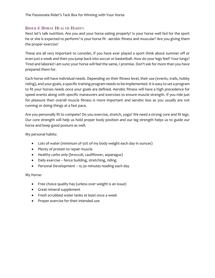### **RIDER & HORSE HEALTH HABITS**

Next let's talk nutrition. Are you and your horse eating properly? Is your horse well fed for the sport he or she is expected to perform? Is your horse fit - aerobic fitness and muscular? Are you giving them the proper exercise?

These are all very important to consider, if you have ever played a sport think about summer off or even just a week and then you jump back into soccer or basketball. How do your legs feel? Your lungs? Tired and labored I am sure; your horse will feel the same, I promise. Don't ask for more than you have prepared them for.

Each horse will have individual needs. Depending on their fitness level, their use (events, trails, hobby riding), and your goals, a specific training program needs to be implemented. It is easy to set a program to fit your horses needs once your goals are defined. Aerobic fitness will have a high precedence for speed events along with specific maneuvers and exercises to ensure muscle strength. If you ride just for pleasure then overall muscle fitness is more important and aerobic less as you usually are not running or doing things at a fast pace.

Are you personally fit to compete? Do you exercise, stretch, yoga? We need a strong core and fit legs. Our core strength will help us hold proper body position and our leg strength helps us to guide our horse and keep good posture as well.

My personal habits:

- Lots of water (minimum of 50% of my body weight each day in ounces)
- Plenty of protein to repair muscle
- Healthy carbs only (broccoli, cauliflower, asparagus)
- Daily exercise fence building, stretching, riding.
- Personal Development 15-30 minutes reading each day

My Horse:

- Free choice quality hay (unless over weight is an issue)
- Great mineral supplement
- Fresh scrubbed water tanks at least once a week
- Proper exercise for their intended use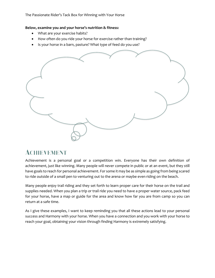The Passionate Rider's Tack Box for Winning with Your Horse

#### **Below, examine you and your horse's nutrition & fitness:**

- What are your exercise habits?
- How often do you ride your horse for exercise rather than training?
- Is your horse in a barn, pasture? What type of feed do you use?



# **ACHIEVEMENT**

Achievement is a personal goal or a competition win. Everyone has their own definition of achievement, just like winning. Many people will never compete in public or at an event, but they still have goals to reach for personal achievement. For some it may be as simple as going from being scared to ride outside of a small pen to venturing out to the arena or maybe even riding on the beach.

Many people enjoy trail riding and they set forth to learn proper care for their horse on the trail and supplies needed. When you plan a trip or trail ride you need to have a proper water source, pack feed for your horse, have a map or guide for the area and know how far you are from camp so you can return at a safe time.

As I give these examples, I want to keep reminding you that all these actions lead to your personal success and Harmony with your horse. When you have a connection and you work with your horse to reach your goal, obtaining your vision through finding Harmony is extremely satisfying.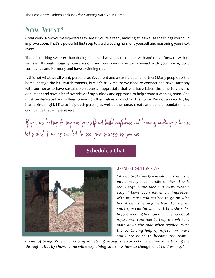# **NOW WHAT?**

Great work! Now you've exposed a few areas you're already amazing at, as well as the things you could improve upon. That's a powerful first step toward creating harmony yourself and mastering your next event.

There is nothing sweeter than finding a horse that you can connect with and move forward with to success. Through integrity, compassion, and hard work, you can connect with your horse, build confidence and Harmony and have a winning ride.

Is this not what we all want, personal achievement and a strong equine partner? Many people fix the horse, change the bit, switch trainers, but let's truly realize we need to connect and have Harmony with our horse to have sustainable success. I appreciate that you have taken the time to view my document and have a brief overview of my outlook and approach to help create a winning team. One must be dedicated and willing to work on themselves as much as the horse. I'm not a quick fix, lay blame kind of girl, I like to help each person, as well as the horse, create and build a foundation and confidence that will persevere.

If you are looking to improve yourself and build confidence and harmony with your horse. let's chat. I am as excited to see your success as you are.

## **[Schedule](https://alyssabigon.com/schedule-a-chat) a Chat**



#### **JENNIFER SUTTON SAYS:**

*"Alyssa broke my 3-year-old mare and she put a really nice handle on her. She is really soft in the face and WOW what a stop! I have been extremely impressed with my mare and excited to go on with her. Alyssa is helping me learn to ride her and to get comfortable with how she rides before sending her home. I have no doubt Alyssa will continue to help me with my mare down the road when needed. With the continuing help of Alyssa, my mare and I are going to become the team I*

*dream of being. When I am doing something wrong, she corrects me by not only talking me through it but by showing me while explaining so I know how to change what I did wrong."*